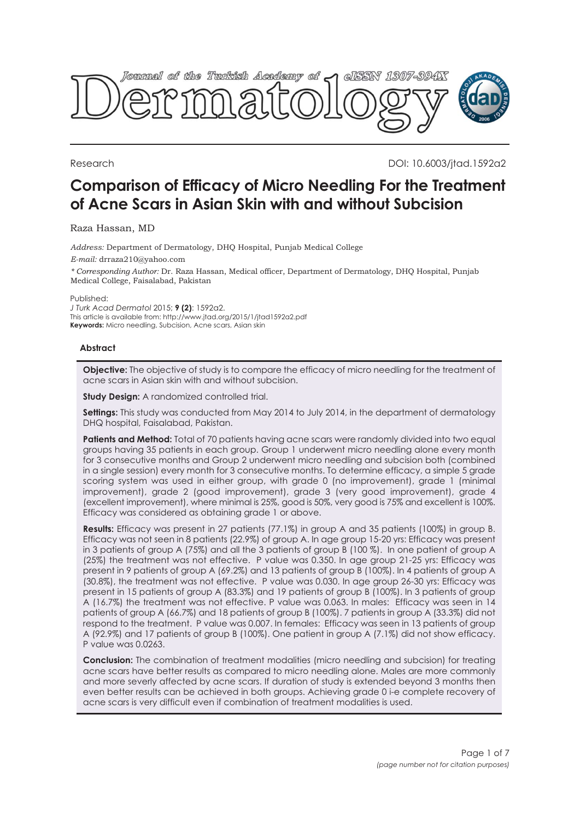

Research DOI: 10.6003/jtad.1592a2

# **Comparison of Efficacy of Micro Needling For the Treatment of Acne Scars in Asian Skin with and without Subcision**

### Raza Hassan, MD

*Address:* Department of Dermatology, DHQ Hospital, Punjab Medical College

*E-mail:* drraza210@yahoo.com

*\* Corresponding Author:* Dr. Raza Hassan, Medical officer, Department of Dermatology, DHQ Hospital, Punjab Medical College, Faisalabad, Pakistan

Published:

*J Turk Acad Dermatol* 2015; **9 (2)**: 1592a2. This article is available from: http://www.jtad.org/2015/1/jtad1592a2.pdf **Keywords:** Micro needling, Subcision, Acne scars, Asian skin

#### **Abstract**

**Objective:** The objective of study is to compare the efficacy of micro needling for the treatment of acne scars in Asian skin with and without subcision.

**Study Design:** A randomized controlled trial.

**Settings:** This study was conducted from May 2014 to July 2014, in the department of dermatology DHQ hospital, Faisalabad, Pakistan.

**Patients and Method:** Total of 70 patients having acne scars were randomly divided into two equal groups having 35 patients in each group. Group 1 underwent micro needling alone every month for 3 consecutive months and Group 2 underwent micro needling and subcision both (combined in a single session) every month for 3 consecutive months. To determine efficacy, a simple 5 grade scoring system was used in either group, with grade 0 (no improvement), grade 1 (minimal improvement), grade 2 (good improvement), grade 3 (very good improvement), grade 4 (excellent improvement), where minimal is 25%, good is 50%, very good is 75% and excellent is 100%. Efficacy was considered as obtaining grade 1 or above.

**Results:** Efficacy was present in 27 patients (77.1%) in group A and 35 patients (100%) in group B. Efficacy was not seen in 8 patients (22.9%) of group A. In age group 15-20 yrs: Efficacy was present in 3 patients of group A (75%) and all the 3 patients of group B (100 %). In one patient of group A (25%) the treatment was not effective. P value was 0.350. In age group 21-25 yrs: Efficacy was present in 9 patients of group A (69.2%) and 13 patients of group B (100%). In 4 patients of group A (30.8%), the treatment was not effective. P value was 0.030. In age group 26-30 yrs: Efficacy was present in 15 patients of group A (83.3%) and 19 patients of group B (100%). In 3 patients of group A (16.7%) the treatment was not effective. P value was 0.063. In males: Efficacy was seen in 14 patients of group A (66.7%) and 18 patients of group B (100%). 7 patients in group A (33.3%) did not respond to the treatment. P value was 0.007. In females: Efficacy was seen in 13 patients of group A (92.9%) and 17 patients of group B (100%). One patient in group A (7.1%) did not show efficacy. P value was 0.0263.

**Conclusion:** The combination of treatment modalities (micro needling and subcision) for treating acne scars have better results as compared to micro needling alone. Males are more commonly and more severly affected by acne scars. If duration of study is extended beyond 3 months then even better results can be achieved in both groups. Achieving grade 0 i-e complete recovery of acne scars is very difficult even if combination of treatment modalities is used.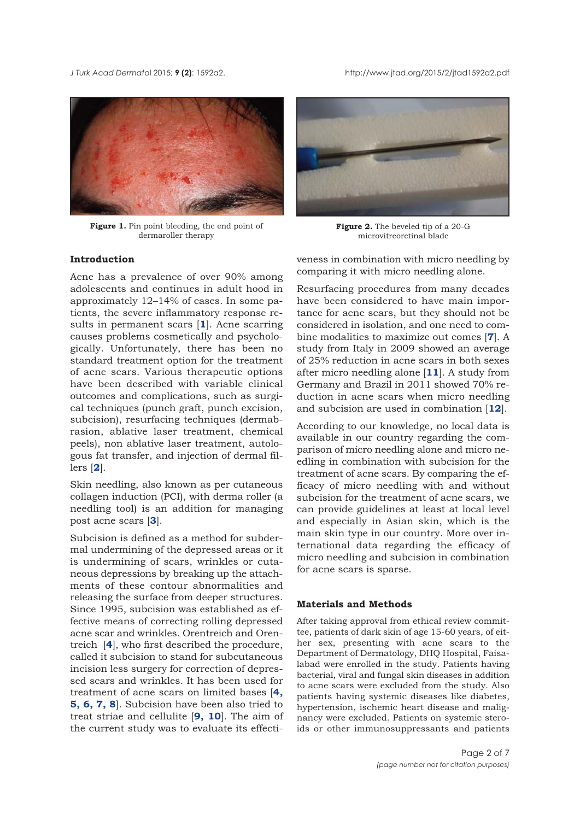<span id="page-1-0"></span>*J Turk Acad Dermato*l 2015; **9 (2)**: 1592a2. http://www.jtad.org/2015/2/jtad1592a2.pdf



Figure 1. Pin point bleeding, the end point of dermaroller therapy

#### **Introduction**

Acne has a prevalence of over 90% among adolescents and continues in adult hood in approximately 12–14% of cases. In some patients, the severe inflammatory response results in permanent scars [**[1](#page-5-0)**]. Acne scarring causes problems cosmetically and psychologically. Unfortunately, there has been no standard treatment option for the treatment of acne scars. Various therapeutic options have been described with variable clinical outcomes and complications, such as surgical techniques (punch graft, punch excision, subcision), resurfacing techniques (dermabrasion, ablative laser treatment, chemical peels), non ablative laser treatment, autologous fat transfer, and injection of dermal fillers [**[2](#page-5-0)**].

Skin needling, also known as per cutaneous collagen induction (PCI), with derma roller (a needling tool) is an addition for managing post acne scars [**[3](#page-5-0)**].

Subcision is defined as a method for subdermal undermining of the depressed areas or it is undermining of scars, wrinkles or cutaneous depressions by breaking up the attachments of these contour abnormalities and releasing the surface from deeper structures. Since 1995, subcision was established as effective means of correcting rolling depressed acne scar and wrinkles. Orentreich and Orentreich [**[4](#page-5-0)**], who first described the procedure, called it subcision to stand for subcutaneous incision less surgery for correction of depressed scars and wrinkles. It has been used for treatment of acne scars on limited bases [**[4,](#page-5-0) [5, 6,](#page-5-0) [7, 8](#page-5-0)**]. Subcision have been also tried to treat striae and cellulite [**[9,](#page-5-0) [10](#page-5-0)**]. The aim of the current study was to evaluate its effecti-



**Figure 2.** The beveled tip of a 20-G microvitreoretinal blade

veness in combination with micro needling by comparing it with micro needling alone.

Resurfacing procedures from many decades have been considered to have main importance for acne scars, but they should not be considered in isolation, and one need to combine modalities to maximize out comes [**[7](#page-5-0)**]. A study from Italy in 2009 showed an average of 25% reduction in acne scars in both sexes after micro needling alone [**[11](#page-5-0)**]. A study from Germany and Brazil in 2011 showed 70% reduction in acne scars when micro needling and subcision are used in combination [**[12](#page-5-0)**].

According to our knowledge, no local data is available in our country regarding the comparison of micro needling alone and micro needling in combination with subcision for the treatment of acne scars. By comparing the efficacy of micro needling with and without subcision for the treatment of acne scars, we can provide guidelines at least at local level and especially in Asian skin, which is the main skin type in our country. More over international data regarding the efficacy of micro needling and subcision in combination for acne scars is sparse.

#### **Materials and Methods**

After taking approval from ethical review committee, patients of dark skin of age 15-60 years, of either sex, presenting with acne scars to the Department of Dermatology, DHQ Hospital, Faisalabad were enrolled in the study. Patients having bacterial, viral and fungal skin diseases in addition to acne scars were excluded from the study. Also patients having systemic diseases like diabetes, hypertension, ischemic heart disease and malignancy were excluded. Patients on systemic steroids or other immunosuppressants and patients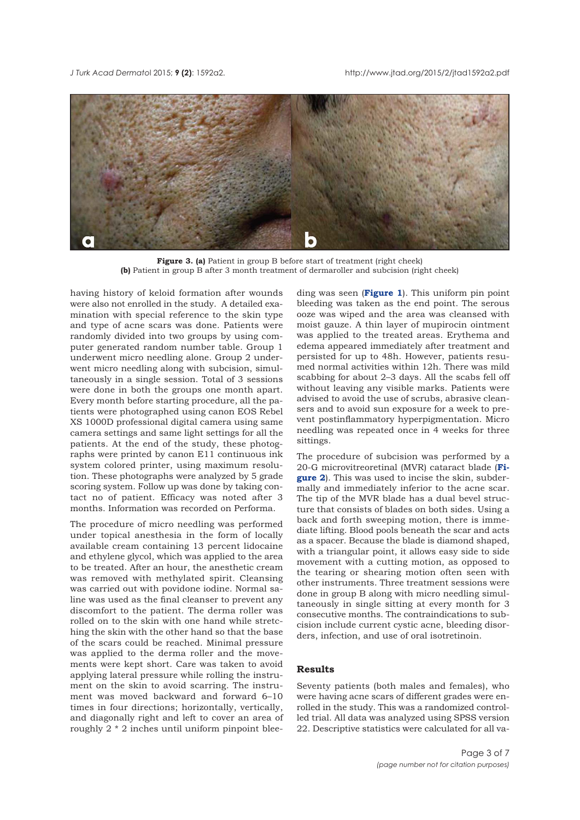<span id="page-2-0"></span>



Figure 3. (a) Patient in group B before start of treatment (right cheek) **(b)** Patient in group B after 3 month treatment of dermaroller and subcision (right cheek)

having history of keloid formation after wounds were also not enrolled in the study. A detailed examination with special reference to the skin type and type of acne scars was done. Patients were randomly divided into two groups by using computer generated random number table. Group 1 underwent micro needling alone. Group 2 underwent micro needling along with subcision, simultaneously in a single session. Total of 3 sessions were done in both the groups one month apart. Every month before starting procedure, all the patients were photographed using canon EOS Rebel XS 1000D professional digital camera using same camera settings and same light settings for all the patients. At the end of the study, these photographs were printed by canon E11 continuous ink system colored printer, using maximum resolution. These photographs were analyzed by 5 grade scoring system. Follow up was done by taking contact no of patient. Efficacy was noted after 3 months. Information was recorded on Performa.

The procedure of micro needling was performed under topical anesthesia in the form of locally available cream containing 13 percent lidocaine and ethylene glycol, which was applied to the area to be treated. After an hour, the anesthetic cream was removed with methylated spirit. Cleansing was carried out with povidone iodine. Normal saline was used as the final cleanser to prevent any discomfort to the patient. The derma roller was rolled on to the skin with one hand while stretching the skin with the other hand so that the base of the scars could be reached. Minimal pressure was applied to the derma roller and the movements were kept short. Care was taken to avoid applying lateral pressure while rolling the instrument on the skin to avoid scarring. The instrument was moved backward and forward 6–10 times in four directions; horizontally, vertically, and diagonally right and left to cover an area of roughly 2 \* 2 inches until uniform pinpoint blee-

ding was seen (**[Figure 1](#page-1-0)**). This uniform pin point bleeding was taken as the end point. The serous ooze was wiped and the area was cleansed with moist gauze. A thin layer of mupirocin ointment was applied to the treated areas. Erythema and edema appeared immediately after treatment and persisted for up to 48h. However, patients resumed normal activities within 12h. There was mild scabbing for about 2–3 days. All the scabs fell off without leaving any visible marks. Patients were advised to avoid the use of scrubs, abrasive cleansers and to avoid sun exposure for a week to prevent postinflammatory hyperpigmentation. Micro needling was repeated once in 4 weeks for three sittings.

The procedure of subcision was performed by a [20-G microvitreoretinal \(MVR\) cataract blade \(](#page-1-0)**Figure 2**). This was used to incise the skin, subdermally and immediately inferior to the acne scar. The tip of the MVR blade has a dual bevel structure that consists of blades on both sides. Using a back and forth sweeping motion, there is immediate lifting. Blood pools beneath the scar and acts as a spacer. Because the blade is diamond shaped, with a triangular point, it allows easy side to side movement with a cutting motion, as opposed to the tearing or shearing motion often seen with other instruments. Three treatment sessions were done in group B along with micro needling simultaneously in single sitting at every month for 3 consecutive months. The contraindications to subcision include current cystic acne, bleeding disorders, infection, and use of oral isotretinoin.

#### **Results**

Seventy patients (both males and females), who were having acne scars of different grades were enrolled in the study. This was a randomized controlled trial. All data was analyzed using SPSS version 22. Descriptive statistics were calculated for all va-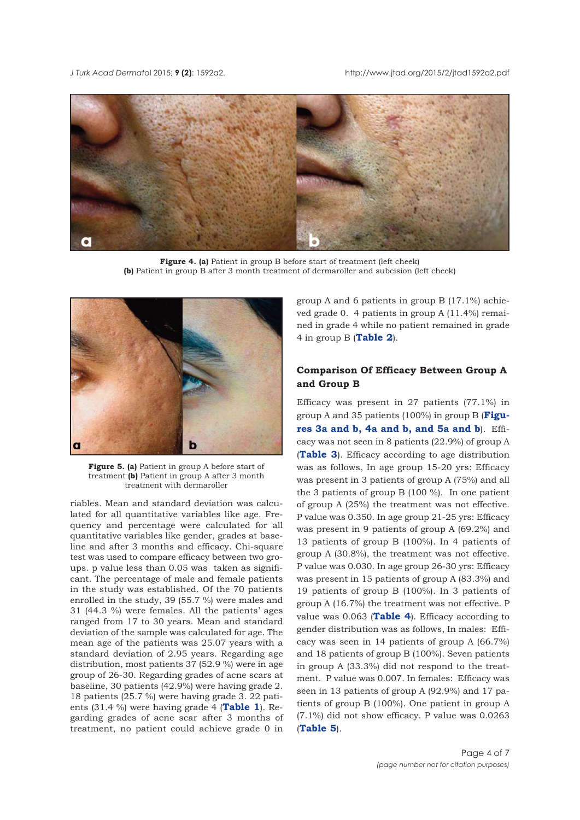

**Figure 4. (a)** Patient in group B before start of treatment (left cheek) **(b)** Patient in group B after 3 month treatment of dermaroller and subcision (left cheek)



**Figure 5. (a)** Patient in group A before start of treatment **(b)** Patient in group A after 3 month treatment with dermaroller

riables. Mean and standard deviation was calculated for all quantitative variables like age. Frequency and percentage were calculated for all quantitative variables like gender, grades at baseline and after 3 months and efficacy. Chi-square test was used to compare efficacy between two groups. p value less than 0.05 was taken as significant. The percentage of male and female patients in the study was established. Of the 70 patients enrolled in the study, 39 (55.7 %) were males and 31 (44.3 %) were females. All the patients' ages ranged from 17 to 30 years. Mean and standard deviation of the sample was calculated for age. The mean age of the patients was 25.07 years with a standard deviation of 2.95 years. Regarding age distribution, most patients 37 (52.9 %) were in age group of 26-30. Regarding grades of acne scars at baseline, 30 patients (42.9%) were having grade 2. 18 patients (25.7 %) were having grade 3. 22 patients (31.4 %) were having grade 4 (**[Table 1](#page-4-0)**). Regarding grades of acne scar after 3 months of treatment, no patient could achieve grade 0 in group A and 6 patients in group B (17.1%) achieved grade 0. 4 patients in group A (11.4%) remained in grade 4 while no patient remained in grade 4 in group B (**[Table 2](#page-4-0)**).

# **Comparison Of Efficacy Between Group A and Group B**

Efficacy was present in 27 patients (77.1%) in group A and 35 patients (100%) in group B (**Figu[res 3a and b, 4a and b, and 5a and b](#page-2-0)**). Efficacy was not seen in 8 patients (22.9%) of group A (**[Table 3](#page-4-0)**). Efficacy according to age distribution was as follows, In age group 15-20 yrs: Efficacy was present in 3 patients of group A (75%) and all the 3 patients of group B (100 %). In one patient of group A (25%) the treatment was not effective. P value was 0.350. In age group 21-25 yrs: Efficacy was present in 9 patients of group A (69.2%) and 13 patients of group B (100%). In 4 patients of group A (30.8%), the treatment was not effective. P value was 0.030. In age group 26-30 yrs: Efficacy was present in 15 patients of group A (83.3%) and 19 patients of group B (100%). In 3 patients of group A (16.7%) the treatment was not effective. P value was 0.063 (**[Table 4](#page-4-0)**). Efficacy according to gender distribution was as follows, In males: Efficacy was seen in 14 patients of group A (66.7%) and 18 patients of group B (100%). Seven patients in group A (33.3%) did not respond to the treatment. P value was 0.007. In females: Efficacy was seen in 13 patients of group A (92.9%) and 17 patients of group B (100%). One patient in group A (7.1%) did not show efficacy. P value was 0.0263 (**[Table 5](#page-5-0)**).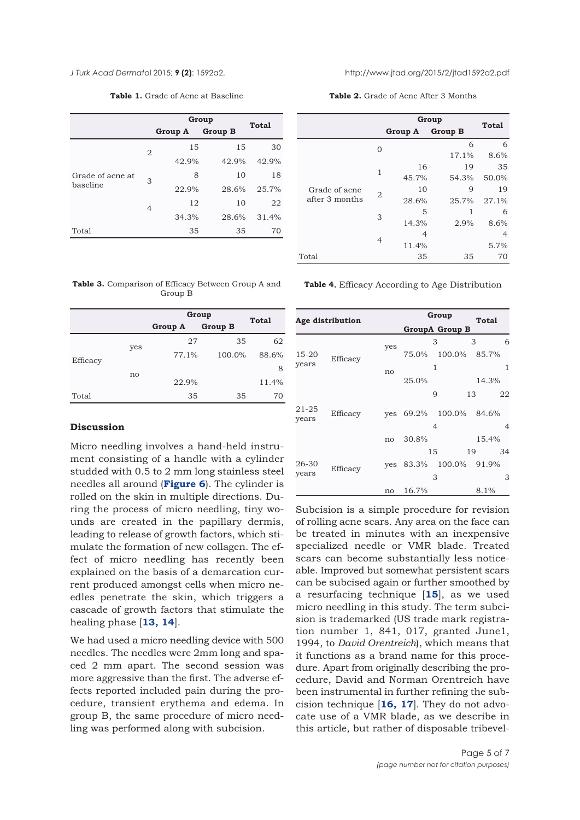**Table 1.** Grade of Acne at Baseline

|                              |                | Group   | Total          |       |
|------------------------------|----------------|---------|----------------|-------|
|                              |                | Group A | <b>Group B</b> |       |
| Grade of acne at<br>baseline | 2              | 15      | 15             | 30    |
|                              |                | 42.9%   | 42.9%          | 42.9% |
|                              | 3              | 8       | 10             | 18    |
|                              |                | 22.9%   | 28.6%          | 25.7% |
|                              | $\overline{4}$ | 12      | 10             | 22    |
|                              |                | 34.3%   | 28.6%          | 31.4% |
| Total                        |                | 35      | 35             | 70    |

<span id="page-4-0"></span>*J Turk Acad Dermato*l 2015; **9 (2)**: 1592a2. http://www.jtad.org/2015/2/jtad1592a2.pdf

**Table 2.** Grade of Acne After 3 Months

|                                 |                | Group          | <b>Total</b>   |       |
|---------------------------------|----------------|----------------|----------------|-------|
|                                 |                | <b>Group A</b> | <b>Group B</b> |       |
|                                 | $\Omega$       |                | 6              | 6     |
| Grade of acne<br>after 3 months |                |                | 17.1%          | 8.6%  |
|                                 | 1              | 16             | 19             | 35    |
|                                 |                | 45.7%          | 54.3%          | 50.0% |
|                                 | 2              | 10             | 9              | 19    |
|                                 |                | 28.6%          | 25.7%          | 27.1% |
|                                 | 3              | 5              | 1              | 6     |
|                                 |                | 14.3%          | 2.9%           | 8.6%  |
|                                 | $\overline{4}$ | 4              |                | 4     |
|                                 |                | 11.4%          |                | 5.7%  |
| Total                           |                | 35             | 35             | 70    |

**Table 3.** Comparison of Efficacy Between Group A and Group B

|          |     | Group   | Total          |       |
|----------|-----|---------|----------------|-------|
|          |     | Group A | <b>Group B</b> |       |
| Efficacy | yes | 27      | 35             | 62    |
|          |     | 77.1%   | 100.0%         | 88.6% |
|          | no  |         |                | 8     |
|          |     | 22.9%   |                | 11.4% |
| Total    |     | 35      | 35             | 70    |

## **Discussion**

Micro needling involves a hand-held instrument consisting of a handle with a cylinder studded with 0.5 to 2 mm long stainless steel needles all around (**[Figure 6](#page-5-0)**). The cylinder is rolled on the skin in multiple directions. During the process of micro needling, tiny wounds are created in the papillary dermis, leading to release of growth factors, which stimulate the formation of new collagen. The effect of micro needling has recently been explained on the basis of a demarcation current produced amongst cells when micro needles penetrate the skin, which triggers a cascade of growth factors that stimulate the healing phase [**[13, 14](#page-6-0)**].

We had used a micro needling device with 500 needles. The needles were 2mm long and spaced 2 mm apart. The second session was more aggressive than the first. The adverse effects reported included pain during the procedure, transient erythema and edema. In group B, the same procedure of micro needling was performed along with subcision.

**Table 4.** Efficacy According to Age Distribution

| Age distribution |          |     | Group           | Total  |                |
|------------------|----------|-----|-----------------|--------|----------------|
|                  |          |     | GroupA Group B  |        |                |
|                  |          | yes |                 | 3      | 6<br>3         |
| 15-20<br>years   | Efficacy |     | 75.0%<br>100.0% | 85.7%  |                |
|                  |          | no  |                 | 1      | 1              |
|                  |          |     | 25.0%           |        | 14.3%          |
|                  |          |     |                 | 9      | 22<br>13       |
| 21-25<br>years   | Efficacy | yes | 69.2%           | 100.0% | 84.6%          |
|                  |          |     |                 | 4      | $\overline{4}$ |
|                  |          | no  | 30.8%           |        | 15.4%          |
|                  |          |     |                 | 15     | 19<br>34       |
| 26-30<br>years   | Efficacy | yes | 83.3%           | 100.0% | 91.9%          |
|                  |          |     |                 | 3      | 3              |
|                  |          | no  | 16.7%           |        | 8.1%           |

Subcision is a simple procedure for revision of rolling acne scars. Any area on the face can be treated in minutes with an inexpensive specialized needle or VMR blade. Treated scars can become substantially less noticeable. Improved but somewhat persistent scars can be subcised again or further smoothed by a resurfacing technique [**[15](#page-6-0)**], as we used micro needling in this study. The term subcision is trademarked (US trade mark registration number 1, 841, 017, granted June1, 1994, to *David Orentreich*), which means that it functions as a brand name for this procedure. Apart from originally describing the procedure, David and Norman Orentreich have been instrumental in further refining the subcision technique [**[16,](#page-6-0) [17](#page-6-0)**]. They do not advocate use of a VMR blade, as we describe in this article, but rather of disposable tribevel-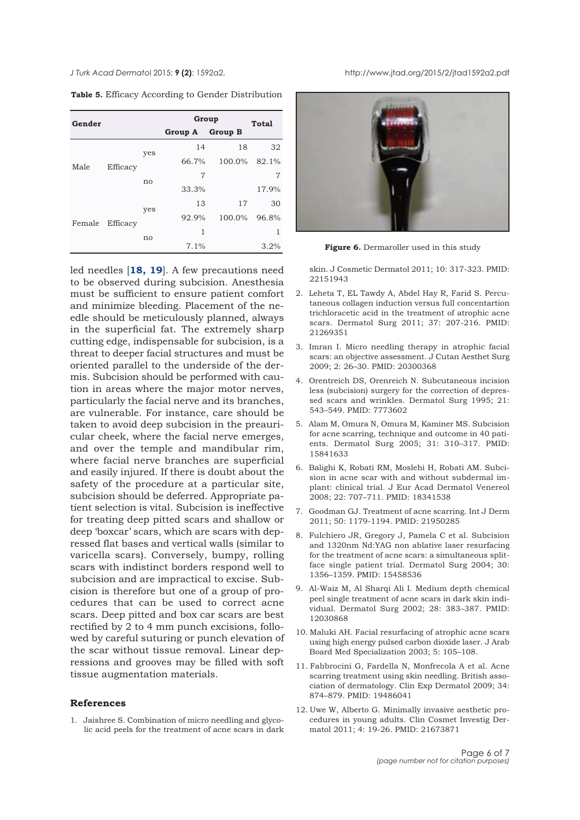<span id="page-5-0"></span>*J Turk Acad Dermato*l 2015; **9 (2)**: 1592a2. http://www.jtad.org/2015/2/jtad1592a2.pdf

| Gender |          |     | Group   |                | <b>Total</b> |  |
|--------|----------|-----|---------|----------------|--------------|--|
|        |          |     | Group A | <b>Group B</b> |              |  |
| Male   |          | yes | 14      | 18             | 32           |  |
|        | Efficacy |     | 66.7%   | 100.0%         | 82.1%        |  |
|        |          | no  | 7       |                | 7            |  |
|        |          |     | 33.3%   |                | 17.9%        |  |
| Female | Efficacy | yes | 13      | 17             | 30           |  |
|        |          |     | 92.9%   | 100.0%         | 96.8%        |  |
|        |          | no  | 1       |                | 1            |  |
|        |          |     | 7.1%    |                | 3.2%         |  |

**Table 5.** Efficacy According to Gender Distribution

led needles [**[18, 19](#page-6-0)**]. A few precautions need to be observed during subcision. Anesthesia must be sufficient to ensure patient comfort and minimize bleeding. Placement of the needle should be meticulously planned, always in the superficial fat. The extremely sharp cutting edge, indispensable for subcision, is a threat to deeper facial structures and must be oriented parallel to the underside of the dermis. Subcision should be performed with caution in areas where the major motor nerves, particularly the facial nerve and its branches, are vulnerable. For instance, care should be taken to avoid deep subcision in the preauricular cheek, where the facial nerve emerges, and over the temple and mandibular rim, where facial nerve branches are superficial and easily injured. If there is doubt about the safety of the procedure at a particular site, subcision should be deferred. Appropriate patient selection is vital. Subcision is ineffective for treating deep pitted scars and shallow or deep 'boxcar' scars, which are scars with depressed flat bases and vertical walls (similar to varicella scars). Conversely, bumpy, rolling scars with indistinct borders respond well to subcision and are impractical to excise. Subcision is therefore but one of a group of procedures that can be used to correct acne scars. Deep pitted and box car scars are best rectified by 2 to 4 mm punch excisions, followed by careful suturing or punch elevation of the scar without tissue removal. Linear depressions and grooves may be filled with soft tissue augmentation materials.

#### **References**

1. Jaishree S. Combination of micro needling and glycolic acid peels for the treatment of acne scars in dark



**Figure 6.** Dermaroller used in this study

skin. J Cosmetic Dermatol 2011; 10: 317-323. PMID: 22151943

- 2. Leheta T, EL Tawdy A, Abdel Hay R, Farid S. Percutaneous collagen induction versus full concentartion trichloracetic acid in the treatment of atrophic acne scars. Dermatol Surg 2011; 37: 207-216. PMID: 21269351
- 3. Imran I. Micro needling therapy in atrophic facial scars: an objective assessment. J Cutan Aesthet Surg 2009; 2: 26–30. PMID: 20300368
- 4. Orentreich DS, Orenreich N. Subcutaneous incision less (subcision) surgery for the correction of depressed scars and wrinkles. Dermatol Surg 1995; 21: 543–549. PMID: 7773602
- 5. Alam M, Omura N, Omura M, Kaminer MS. Subcision for acne scarring, technique and outcome in 40 patients. Dermatol Surg 2005; 31: 310–317. PMID: 15841633
- 6. Balighi K, Robati RM, Moslehi H, Robati AM. Subcision in acne scar with and without subdermal implant: clinical trial. J Eur Acad Dermatol Venereol 2008; 22: 707–711. PMID: 18341538
- 7. Goodman GJ. Treatment of acne scarring. Int J Derm 2011; 50: 1179-1194. PMID: 21950285
- 8. Fulchiero JR, Gregory J, Pamela C et al. Subcision and 1320nm Nd:YAG non ablative laser resurfacing for the treatment of acne scars: a simultaneous splitface single patient trial. Dermatol Surg 2004; 30: 1356–1359. PMID: 15458536
- 9. Al-Waiz M, Al Sharqi Ali I. Medium depth chemical peel single treatment of acne scars in dark skin individual. Dermatol Surg 2002; 28: 383–387. PMID: 12030868
- 10. Maluki AH. Facial resurfacing of atrophic acne scars using high energy pulsed carbon dioxide laser. J Arab Board Med Specialization 2003; 5: 105–108.
- 11. Fabbrocini G, Fardella N, Monfrecola A et al. Acne scarring treatment using skin needling. British association of dermatology. Clin Exp Dermatol 2009; 34: 874–879. PMID: 19486041
- 12. Uwe W, Alberto G. Minimally invasive aesthetic procedures in young adults. Clin Cosmet Investig Dermatol 2011; 4: 19-26. PMID: 21673871